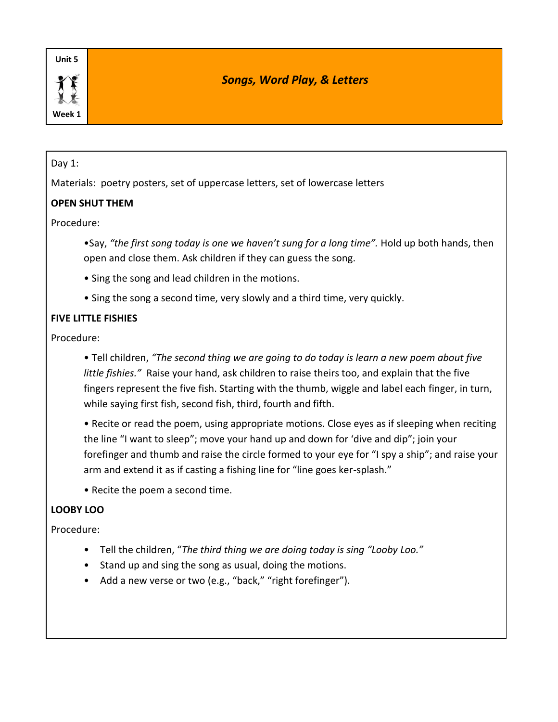**Week 1**

# *Songs, Word Play, & Letters*

#### Day 1:

Materials: poetry posters, set of uppercase letters, set of lowercase letters

# **OPEN SHUT THEM**

#### Procedure:

•Say, *"the first song today is one we haven't sung for a long time".* Hold up both hands, then open and close them. Ask children if they can guess the song.

- Sing the song and lead children in the motions.
- Sing the song a second time, very slowly and a third time, very quickly.

#### **FIVE LITTLE FISHIES**

Procedure:

• Tell children, *"The second thing we are going to do today is learn a new poem about five little fishies."* Raise your hand, ask children to raise theirs too, and explain that the five fingers represent the five fish. Starting with the thumb, wiggle and label each finger, in turn, while saying first fish, second fish, third, fourth and fifth.

• Recite or read the poem, using appropriate motions. Close eyes as if sleeping when reciting the line "I want to sleep"; move your hand up and down for 'dive and dip"; join your forefinger and thumb and raise the circle formed to your eye for "I spy a ship"; and raise your arm and extend it as if casting a fishing line for "line goes ker-splash."

• Recite the poem a second time.

#### **LOOBY LOO**

#### Procedure:

- Tell the children, "*The third thing we are doing today is sing "Looby Loo."*
- Stand up and sing the song as usual, doing the motions.
- Add a new verse or two (e.g., "back," "right forefinger").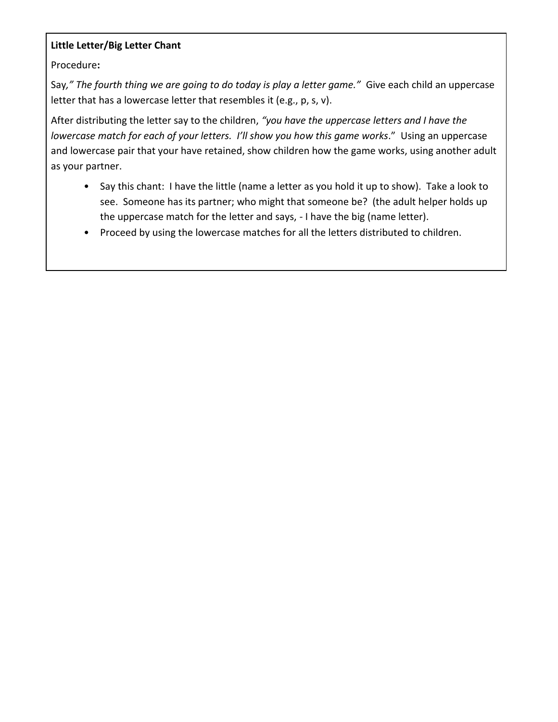## **Little Letter/Big Letter Chant**

Procedure**:**

Say*," The fourth thing we are going to do today is play a letter game."* Give each child an uppercase letter that has a lowercase letter that resembles it (e.g., p, s, v).

After distributing the letter say to the children, *"you have the uppercase letters and I have the lowercase match for each of your letters. I'll show you how this game works*." Using an uppercase and lowercase pair that your have retained, show children how the game works, using another adult as your partner.

- Say this chant: I have the little (name a letter as you hold it up to show). Take a look to see. Someone has its partner; who might that someone be? (the adult helper holds up the uppercase match for the letter and says, - I have the big (name letter).
- Proceed by using the lowercase matches for all the letters distributed to children.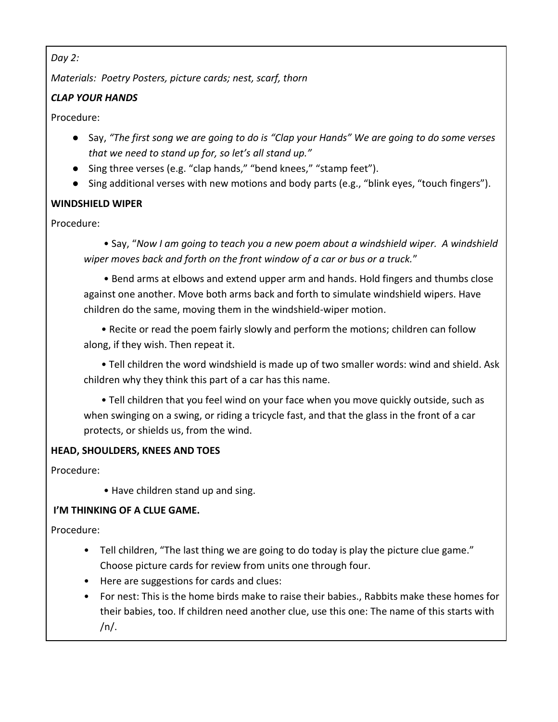## *Day 2:*

*Materials: Poetry Posters, picture cards; nest, scarf, thorn*

# *CLAP YOUR HANDS*

Procedure:

- Say, "The first song we are going to do is "Clap your Hands" We are going to do some verses *that we need to stand up for, so let's all stand up."*
- Sing three verses (e.g. "clap hands," "bend knees," "stamp feet").
- Sing additional verses with new motions and body parts (e.g., "blink eyes, "touch fingers").

# **WINDSHIELD WIPER**

Procedure:

 • Say, "*Now I am going to teach you a new poem about a windshield wiper. A windshield wiper moves back and forth on the front window of a car or bus or a truck.*"

 • Bend arms at elbows and extend upper arm and hands. Hold fingers and thumbs close against one another. Move both arms back and forth to simulate windshield wipers. Have children do the same, moving them in the windshield-wiper motion.

 • Recite or read the poem fairly slowly and perform the motions; children can follow along, if they wish. Then repeat it.

 • Tell children the word windshield is made up of two smaller words: wind and shield. Ask children why they think this part of a car has this name.

 • Tell children that you feel wind on your face when you move quickly outside, such as when swinging on a swing, or riding a tricycle fast, and that the glass in the front of a car protects, or shields us, from the wind.

# **HEAD, SHOULDERS, KNEES AND TOES**

Procedure:

• Have children stand up and sing.

# **I'M THINKING OF A CLUE GAME.**

Procedure:

- Tell children, "The last thing we are going to do today is play the picture clue game." Choose picture cards for review from units one through four.
- Here are suggestions for cards and clues:
- For nest: This is the home birds make to raise their babies., Rabbits make these homes for their babies, too. If children need another clue, use this one: The name of this starts with  $/n/$ .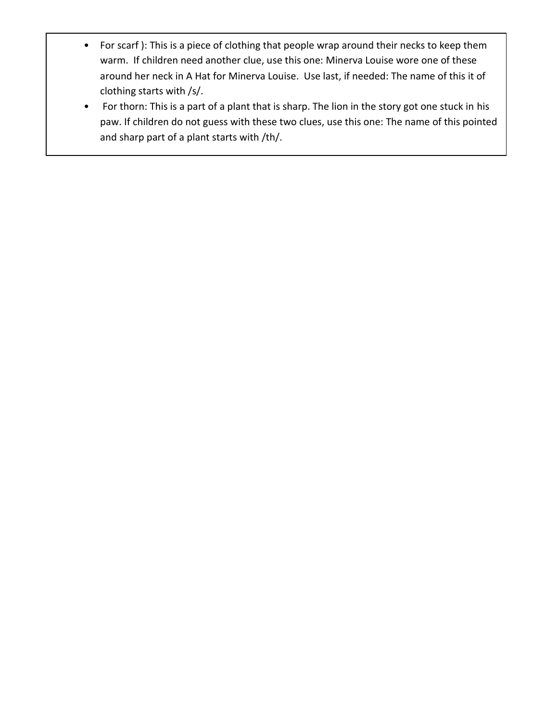- For scarf ): This is a piece of clothing that people wrap around their necks to keep them warm. If children need another clue, use this one: Minerva Louise wore one of these around her neck in A Hat for Minerva Louise. Use last, if needed: The name of this it of clothing starts with /s/.
- For thorn: This is a part of a plant that is sharp. The lion in the story got one stuck in his paw. If children do not guess with these two clues, use this one: The name of this pointed and sharp part of a plant starts with /th/.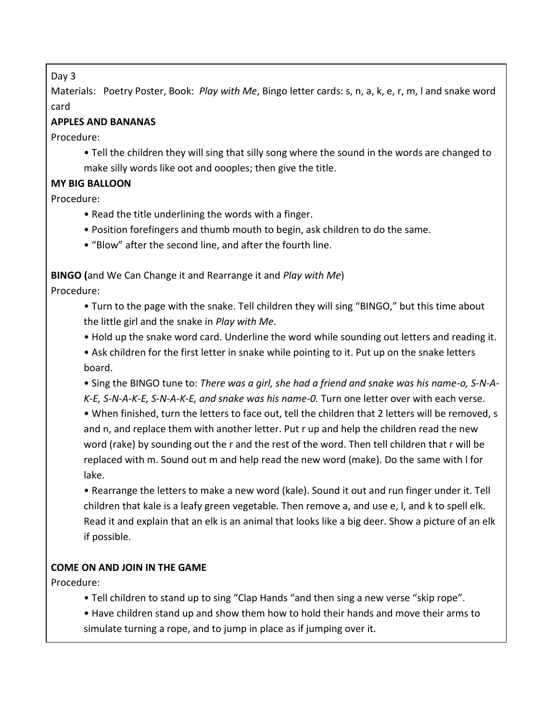### Day 3

Materials: Poetry Poster, Book: *Play with Me*, Bingo letter cards: s, n, a, k, e, r, m, l and snake word card

# **APPLES AND BANANAS**

Procedure:

• Tell the children they will sing that silly song where the sound in the words are changed to make silly words like oot and oooples; then give the title.

# **MY BIG BALLOON**

Procedure:

- Read the title underlining the words with a finger.
- Position forefingers and thumb mouth to begin, ask children to do the same.
- "Blow" after the second line, and after the fourth line.

**BINGO (**and We Can Change it and Rearrange it and *Play with Me*)

Procedure:

• Turn to the page with the snake. Tell children they will sing "BINGO," but this time about the little girl and the snake in *Play with Me*.

• Hold up the snake word card. Underline the word while sounding out letters and reading it.

• Ask children for the first letter in snake while pointing to it. Put up on the snake letters board.

• Sing the BINGO tune to: *There was a girl, she had a friend and snake was his name-o, S-N-A-K-E, S-N-A-K-E, S-N-A-K-E, and snake was his name-0.* Turn one letter over with each verse.

• When finished, turn the letters to face out, tell the children that 2 letters will be removed, s and n, and replace them with another letter. Put r up and help the children read the new word (rake) by sounding out the r and the rest of the word. Then tell children that r will be replaced with m. Sound out m and help read the new word (make). Do the same with l for lake.

• Rearrange the letters to make a new word (kale). Sound it out and run finger under it. Tell children that kale is a leafy green vegetable. Then remove a, and use e, l, and k to spell elk. Read it and explain that an elk is an animal that looks like a big deer. Show a picture of an elk if possible.

# **COME ON AND JOIN IN THE GAME**

Procedure:

• Tell children to stand up to sing "Clap Hands "and then sing a new verse "skip rope".

• Have children stand up and show them how to hold their hands and move their arms to simulate turning a rope, and to jump in place as if jumping over it.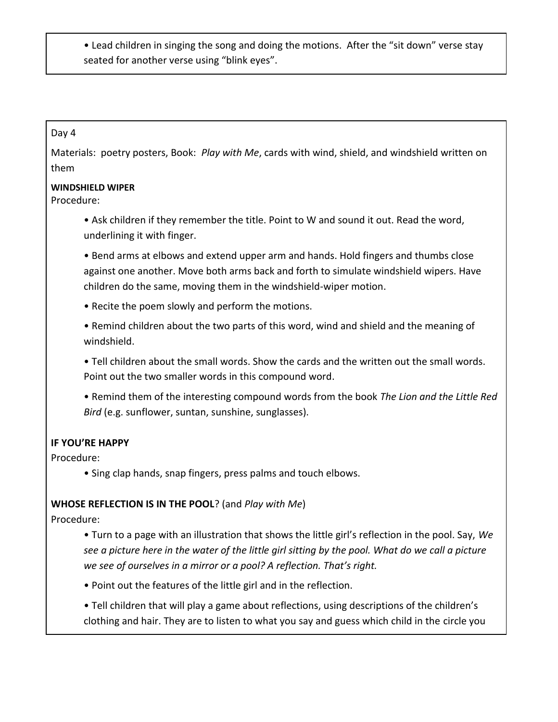• Lead children in singing the song and doing the motions. After the "sit down" verse stay seated for another verse using "blink eyes".

#### Day 4

Materials: poetry posters, Book: *Play with Me*, cards with wind, shield, and windshield written on them

#### **WINDSHIELD WIPER**

Procedure:

• Ask children if they remember the title. Point to W and sound it out. Read the word, underlining it with finger.

• Bend arms at elbows and extend upper arm and hands. Hold fingers and thumbs close against one another. Move both arms back and forth to simulate windshield wipers. Have children do the same, moving them in the windshield-wiper motion.

• Recite the poem slowly and perform the motions.

• Remind children about the two parts of this word, wind and shield and the meaning of windshield.

• Tell children about the small words. Show the cards and the written out the small words. Point out the two smaller words in this compound word.

• Remind them of the interesting compound words from the book *The Lion and the Little Red Bird* (e.g. sunflower, suntan, sunshine, sunglasses).

# **IF YOU'RE HAPPY**

Procedure:

• Sing clap hands, snap fingers, press palms and touch elbows.

#### **WHOSE REFLECTION IS IN THE POOL**? (and *Play with Me*)

Procedure:

• Turn to a page with an illustration that shows the little girl's reflection in the pool. Say, *We see a picture here in the water of the little girl sitting by the pool. What do we call a picture we see of ourselves in a mirror or a pool? A reflection. That's right.*

• Point out the features of the little girl and in the reflection.

• Tell children that will play a game about reflections, using descriptions of the children's clothing and hair. They are to listen to what you say and guess which child in the circle you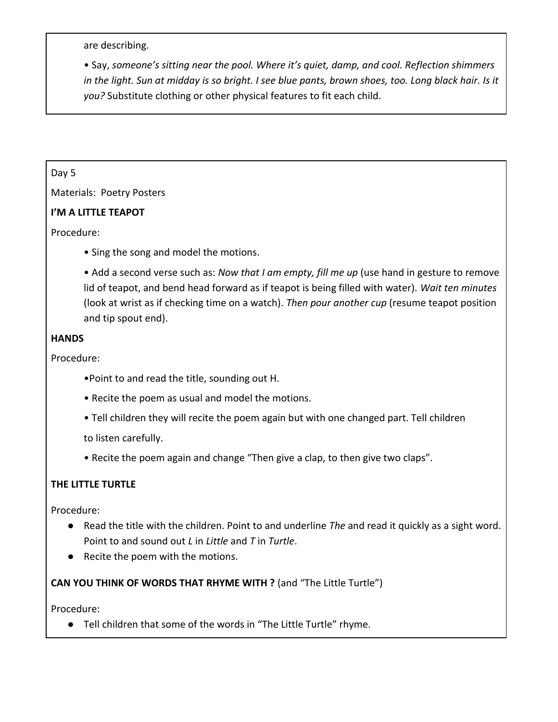are describing.

• Say, *someone's sitting near the pool. Where it's quiet, damp, and cool. Reflection shimmers in the light. Sun at midday is so bright. I see blue pants, brown shoes, too. Long black hair. Is it you?* Substitute clothing or other physical features to fit each child.

#### Day 5

Materials: Poetry Posters

## **I'M A LITTLE TEAPOT**

Procedure:

• Sing the song and model the motions.

• Add a second verse such as: *Now that I am empty, fill me up* (use hand in gesture to remove lid of teapot, and bend head forward as if teapot is being filled with water). *Wait ten minutes*  (look at wrist as if checking time on a watch). *Then pour another cup* (resume teapot position and tip spout end).

## **HANDS**

Procedure:

- •Point to and read the title, sounding out H.
- Recite the poem as usual and model the motions.
- Tell children they will recite the poem again but with one changed part. Tell children

to listen carefully.

• Recite the poem again and change "Then give a clap, to then give two claps".

# **THE LITTLE TURTLE**

Procedure:

- Read the title with the children. Point to and underline *The* and read it quickly as a sight word. Point to and sound out *L* in *Little* and *T* in *Turtle*.
- Recite the poem with the motions.

**CAN YOU THINK OF WORDS THAT RHYME WITH ?** (and "The Little Turtle")

Procedure:

● Tell children that some of the words in "The Little Turtle" rhyme.